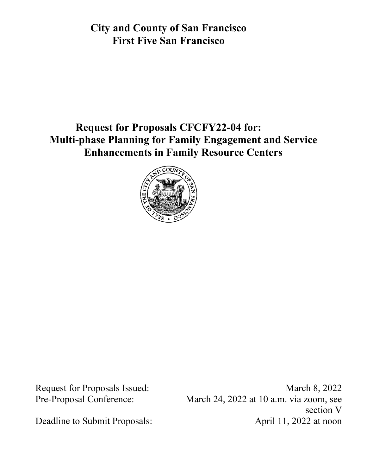**City and County of San Francisco First Five San Francisco** 

# **Request for Proposals CFCFY22-04 for: Multi-phase Planning for Family Engagement and Service Enhancements in Family Resource Centers**



Request for Proposals Issued: March 8, 2022 Pre-Proposal Conference: March 24, 2022 at 10 a.m. via zoom, see section V Deadline to Submit Proposals: April 11, 2022 at noon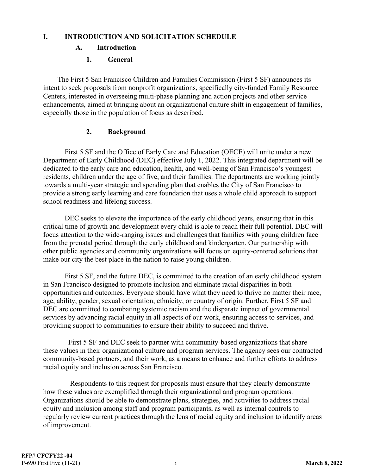#### **I. INTRODUCTION AND SOLICITATION SCHEDULE**

#### **A. Introduction**

#### **1. General**

 The First 5 San Francisco Children and Families Commission (First 5 SF) announces its intent to seek proposals from nonprofit organizations, specifically city-funded Family Resource Centers, interested in overseeing multi-phase planning and action projects and other service enhancements, aimed at bringing about an organizational culture shift in engagement of families, especially those in the population of focus as described.

#### **2. Background**

 First 5 SF and the Office of Early Care and Education (OECE) will unite under a new Department of Early Childhood (DEC) effective July 1, 2022. This integrated department will be dedicated to the early care and education, health, and well-being of San Francisco's youngest residents, children under the age of five, and their families. The departments are working jointly towards a multi-year strategic and spending plan that enables the City of San Francisco to provide a strong early learning and care foundation that uses a whole child approach to support school readiness and lifelong success.

 DEC seeks to elevate the importance of the early childhood years, ensuring that in this critical time of growth and development every child is able to reach their full potential. DEC will focus attention to the wide-ranging issues and challenges that families with young children face from the prenatal period through the early childhood and kindergarten. Our partnership with other public agencies and community organizations will focus on equity-centered solutions that make our city the best place in the nation to raise young children.

 First 5 SF, and the future DEC, is committed to the creation of an early childhood system in San Francisco designed to promote inclusion and eliminate racial disparities in both opportunities and outcomes. Everyone should have what they need to thrive no matter their race, age, ability, gender, sexual orientation, ethnicity, or country of origin. Further, First 5 SF and DEC are committed to combating systemic racism and the disparate impact of governmental services by advancing racial equity in all aspects of our work, ensuring access to services, and providing support to communities to ensure their ability to succeed and thrive.

 First 5 SF and DEC seek to partner with community-based organizations that share these values in their organizational culture and program services. The agency sees our contracted community-based partners, and their work, as a means to enhance and further efforts to address racial equity and inclusion across San Francisco.

 Respondents to this request for proposals must ensure that they clearly demonstrate how these values are exemplified through their organizational and program operations. Organizations should be able to demonstrate plans, strategies, and activities to address racial equity and inclusion among staff and program participants, as well as internal controls to regularly review current practices through the lens of racial equity and inclusion to identify areas of improvement.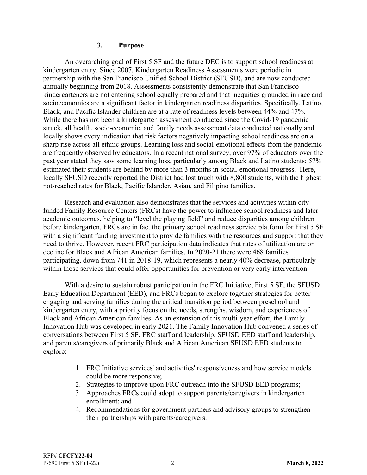#### **3. Purpose**

An overarching goal of First 5 SF and the future DEC is to support school readiness at kindergarten entry. Since 2007, Kindergarten Readiness Assessments were periodic in partnership with the San Francisco Unified School District (SFUSD), and are now conducted annually beginning from 2018. Assessments consistently demonstrate that San Francisco kindergarteners are not entering school equally prepared and that inequities grounded in race and socioeconomics are a significant factor in kindergarten readiness disparities. Specifically, Latino, Black, and Pacific Islander children are at a rate of readiness levels between 44% and 47%. While there has not been a kindergarten assessment conducted since the Covid-19 pandemic struck, all health, socio-economic, and family needs assessment data conducted nationally and locally shows every indication that risk factors negatively impacting school readiness are on a sharp rise across all ethnic groups. Learning loss and social-emotional effects from the pandemic are frequently observed by educators. In a recent national survey, over 97% of educators over the past year stated they saw some learning loss, particularly among Black and Latino students; 57% estimated their students are behind by more than 3 months in social-emotional progress. Here, locally SFUSD recently reported the District had lost touch with 8,800 students, with the highest not-reached rates for Black, Pacific Islander, Asian, and Filipino families.

Research and evaluation also demonstrates that the services and activities within cityfunded Family Resource Centers (FRCs) have the power to influence school readiness and later academic outcomes, helping to "level the playing field" and reduce disparities among children before kindergarten. FRCs are in fact the primary school readiness service platform for First 5 SF with a significant funding investment to provide families with the resources and support that they need to thrive. However, recent FRC participation data indicates that rates of utilization are on decline for Black and African American families. In 2020-21 there were 468 families participating, down from 741 in 2018-19, which represents a nearly 40% decrease, particularly within those services that could offer opportunities for prevention or very early intervention.

With a desire to sustain robust participation in the FRC Initiative, First 5 SF, the SFUSD Early Education Department (EED), and FRCs began to explore together strategies for better engaging and serving families during the critical transition period between preschool and kindergarten entry, with a priority focus on the needs, strengths, wisdom, and experiences of Black and African American families. As an extension of this multi-year effort, the Family Innovation Hub was developed in early 2021. The Family Innovation Hub convened a series of conversations between First 5 SF, FRC staff and leadership, SFUSD EED staff and leadership, and parents/caregivers of primarily Black and African American SFUSD EED students to explore:

- 1. FRC Initiative services' and activities' responsiveness and how service models could be more responsive;
- 2. Strategies to improve upon FRC outreach into the SFUSD EED programs;
- 3. Approaches FRCs could adopt to support parents/caregivers in kindergarten enrollment; and
- 4. Recommendations for government partners and advisory groups to strengthen their partnerships with parents/caregivers.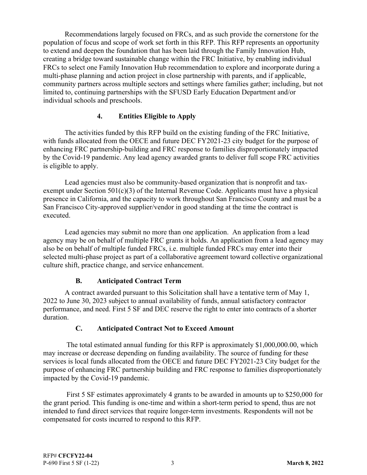Recommendations largely focused on FRCs, and as such provide the cornerstone for the population of focus and scope of work set forth in this RFP. This RFP represents an opportunity to extend and deepen the foundation that has been laid through the Family Innovation Hub, creating a bridge toward sustainable change within the FRC Initiative, by enabling individual FRCs to select one Family Innovation Hub recommendation to explore and incorporate during a multi-phase planning and action project in close partnership with parents, and if applicable, community partners across multiple sectors and settings where families gather; including, but not limited to, continuing partnerships with the SFUSD Early Education Department and/or individual schools and preschools.

## **4. Entities Eligible to Apply**

The activities funded by this RFP build on the existing funding of the FRC Initiative, with funds allocated from the OECE and future DEC FY2021-23 city budget for the purpose of enhancing FRC partnership-building and FRC response to families disproportionately impacted by the Covid-19 pandemic. Any lead agency awarded grants to deliver full scope FRC activities is eligible to apply.

Lead agencies must also be community-based organization that is nonprofit and taxexempt under Section  $501(c)(3)$  of the Internal Revenue Code. Applicants must have a physical presence in California, and the capacity to work throughout San Francisco County and must be a San Francisco City-approved supplier/vendor in good standing at the time the contract is executed.

Lead agencies may submit no more than one application. An application from a lead agency may be on behalf of multiple FRC grants it holds. An application from a lead agency may also be on behalf of multiple funded FRCs, i.e. multiple funded FRCs may enter into their selected multi-phase project as part of a collaborative agreement toward collective organizational culture shift, practice change, and service enhancement.

#### **B. Anticipated Contract Term**

A contract awarded pursuant to this Solicitation shall have a tentative term of May 1, 2022 to June 30, 2023 subject to annual availability of funds, annual satisfactory contractor performance, and need. First 5 SF and DEC reserve the right to enter into contracts of a shorter duration.

## **C. Anticipated Contract Not to Exceed Amount**

 The total estimated annual funding for this RFP is approximately \$1,000,000.00, which may increase or decrease depending on funding availability. The source of funding for these services is local funds allocated from the OECE and future DEC FY2021-23 City budget for the purpose of enhancing FRC partnership building and FRC response to families disproportionately impacted by the Covid-19 pandemic.

 First 5 SF estimates approximately 4 grants to be awarded in amounts up to \$250,000 for the grant period. This funding is one-time and within a short-term period to spend, thus are not intended to fund direct services that require longer-term investments. Respondents will not be compensated for costs incurred to respond to this RFP.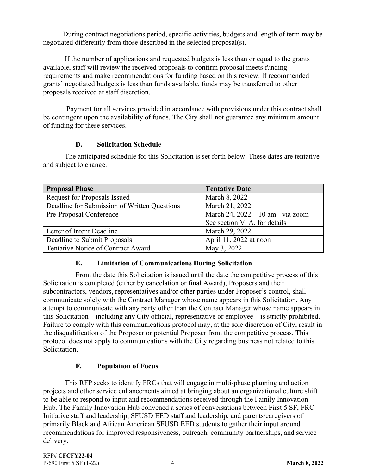During contract negotiations period, specific activities, budgets and length of term may be negotiated differently from those described in the selected proposal(s).

If the number of applications and requested budgets is less than or equal to the grants available, staff will review the received proposals to confirm proposal meets funding requirements and make recommendations for funding based on this review. If recommended grants' negotiated budgets is less than funds available, funds may be transferred to other proposals received at staff discretion.

 Payment for all services provided in accordance with provisions under this contract shall be contingent upon the availability of funds. The City shall not guarantee any minimum amount of funding for these services.

#### **D. Solicitation Schedule**

| <b>Proposal Phase</b>                        | <b>Tentative Date</b>             |
|----------------------------------------------|-----------------------------------|
| Request for Proposals Issued                 | March 8, 2022                     |
| Deadline for Submission of Written Questions | March 21, 2022                    |
| Pre-Proposal Conference                      | March 24, 2022 – 10 am - via zoom |
|                                              | See section V. A. for details     |
| Letter of Intent Deadline                    | March 29, 2022                    |
| Deadline to Submit Proposals                 | April 11, 2022 at noon            |
| Tentative Notice of Contract Award           | May 3, 2022                       |

The anticipated schedule for this Solicitation is set forth below. These dates are tentative and subject to change.

#### **E. Limitation of Communications During Solicitation**

From the date this Solicitation is issued until the date the competitive process of this Solicitation is completed (either by cancelation or final Award), Proposers and their subcontractors, vendors, representatives and/or other parties under Proposer's control, shall communicate solely with the Contract Manager whose name appears in this Solicitation. Any attempt to communicate with any party other than the Contract Manager whose name appears in this Solicitation – including any City official, representative or employee – is strictly prohibited. Failure to comply with this communications protocol may, at the sole discretion of City, result in the disqualification of the Proposer or potential Proposer from the competitive process. This protocol does not apply to communications with the City regarding business not related to this Solicitation.

#### **F. Population of Focus**

This RFP seeks to identify FRCs that will engage in multi-phase planning and action projects and other service enhancements aimed at bringing about an organizational culture shift to be able to respond to input and recommendations received through the Family Innovation Hub. The Family Innovation Hub convened a series of conversations between First 5 SF, FRC Initiative staff and leadership, SFUSD EED staff and leadership, and parents/caregivers of primarily Black and African American SFUSD EED students to gather their input around recommendations for improved responsiveness, outreach, community partnerships, and service delivery.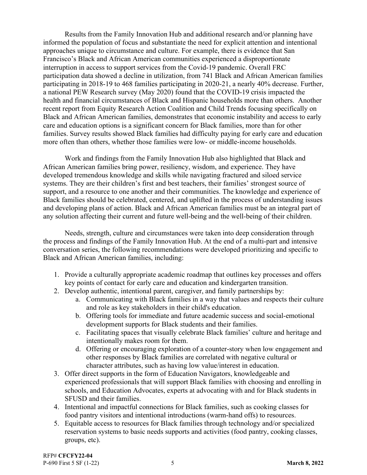Results from the Family Innovation Hub and additional research and/or planning have informed the population of focus and substantiate the need for explicit attention and intentional approaches unique to circumstance and culture. For example, there is evidence that San Francisco's Black and African American communities experienced a disproportionate interruption in access to support services from the Covid-19 pandemic. Overall FRC participation data showed a decline in utilization, from 741 Black and African American families participating in 2018-19 to 468 families participating in 2020-21, a nearly 40% decrease. Further, a national PEW Research survey (May 2020) found that the COVID-19 crisis impacted the health and financial circumstances of Black and Hispanic households more than others. Another recent report from Equity Research Action Coalition and Child Trends focusing specifically on Black and African American families, demonstrates that economic instability and access to early care and education options is a significant concern for Black families, more than for other families. Survey results showed Black families had difficulty paying for early care and education more often than others, whether those families were low- or middle-income households.

Work and findings from the Family Innovation Hub also highlighted that Black and African American families bring power, resiliency, wisdom, and experience. They have developed tremendous knowledge and skills while navigating fractured and siloed service systems. They are their children's first and best teachers, their families' strongest source of support, and a resource to one another and their communities. The knowledge and experience of Black families should be celebrated, centered, and uplifted in the process of understanding issues and developing plans of action. Black and African American families must be an integral part of any solution affecting their current and future well-being and the well-being of their children.

Needs, strength, culture and circumstances were taken into deep consideration through the process and findings of the Family Innovation Hub. At the end of a multi-part and intensive conversation series, the following recommendations were developed prioritizing and specific to Black and African American families, including:

- 1. Provide a culturally appropriate academic roadmap that outlines key processes and offers key points of contact for early care and education and kindergarten transition.
- 2. Develop authentic, intentional parent, caregiver, and family partnerships by:
	- a. Communicating with Black families in a way that values and respects their culture and role as key stakeholders in their child's education.
	- b. Offering tools for immediate and future academic success and social-emotional development supports for Black students and their families.
	- c. Facilitating spaces that visually celebrate Black families' culture and heritage and intentionally makes room for them.
	- d. Offering or encouraging exploration of a counter-story when low engagement and other responses by Black families are correlated with negative cultural or character attributes, such as having low value/interest in education.
- 3. Offer direct supports in the form of Education Navigators, knowledgeable and experienced professionals that will support Black families with choosing and enrolling in schools, and Education Advocates, experts at advocating with and for Black students in SFUSD and their families.
- 4. Intentional and impactful connections for Black families, such as cooking classes for food pantry visitors and intentional introductions (warm-hand offs) to resources.
- 5. Equitable access to resources for Black families through technology and/or specialized reservation systems to basic needs supports and activities (food pantry, cooking classes, groups, etc).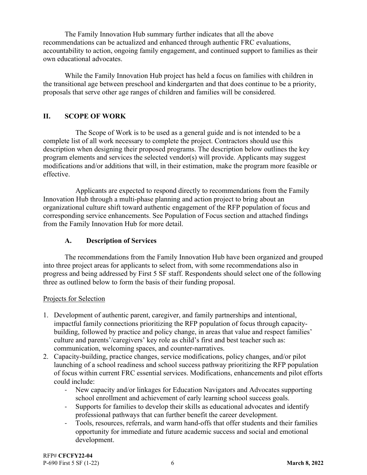The Family Innovation Hub summary further indicates that all the above recommendations can be actualized and enhanced through authentic FRC evaluations, accountability to action, ongoing family engagement, and continued support to families as their own educational advocates.

While the Family Innovation Hub project has held a focus on families with children in the transitional age between preschool and kindergarten and that does continue to be a priority, proposals that serve other age ranges of children and families will be considered.

## **II. SCOPE OF WORK**

The Scope of Work is to be used as a general guide and is not intended to be a complete list of all work necessary to complete the project. Contractors should use this description when designing their proposed programs. The description below outlines the key program elements and services the selected vendor(s) will provide. Applicants may suggest modifications and/or additions that will, in their estimation, make the program more feasible or effective.

Applicants are expected to respond directly to recommendations from the Family Innovation Hub through a multi-phase planning and action project to bring about an organizational culture shift toward authentic engagement of the RFP population of focus and corresponding service enhancements. See Population of Focus section and attached findings from the Family Innovation Hub for more detail.

## **A. Description of Services**

The recommendations from the Family Innovation Hub have been organized and grouped into three project areas for applicants to select from, with some recommendations also in progress and being addressed by First 5 SF staff. Respondents should select one of the following three as outlined below to form the basis of their funding proposal.

#### Projects for Selection

- 1. Development of authentic parent, caregiver, and family partnerships and intentional, impactful family connections prioritizing the RFP population of focus through capacitybuilding, followed by practice and policy change, in areas that value and respect families' culture and parents'/caregivers' key role as child's first and best teacher such as: communication, welcoming spaces, and counter-narratives.
- 2. Capacity-building, practice changes, service modifications, policy changes, and/or pilot launching of a school readiness and school success pathway prioritizing the RFP population of focus within current FRC essential services. Modifications, enhancements and pilot efforts could include:
	- ‐ New capacity and/or linkages for Education Navigators and Advocates supporting school enrollment and achievement of early learning school success goals.
	- ‐ Supports for families to develop their skills as educational advocates and identify professional pathways that can further benefit the career development.
	- ‐ Tools, resources, referrals, and warm hand-offs that offer students and their families opportunity for immediate and future academic success and social and emotional development.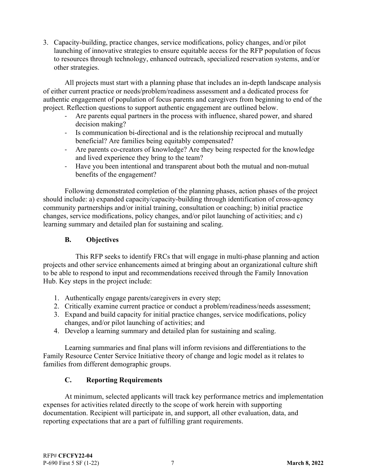3. Capacity-building, practice changes, service modifications, policy changes, and/or pilot launching of innovative strategies to ensure equitable access for the RFP population of focus to resources through technology, enhanced outreach, specialized reservation systems, and/or other strategies.

All projects must start with a planning phase that includes an in-depth landscape analysis of either current practice or needs/problem/readiness assessment and a dedicated process for authentic engagement of population of focus parents and caregivers from beginning to end of the project. Reflection questions to support authentic engagement are outlined below.

- ‐ Are parents equal partners in the process with influence, shared power, and shared decision making?
- ‐ Is communication bi-directional and is the relationship reciprocal and mutually beneficial? Are families being equitably compensated?
- ‐ Are parents co-creators of knowledge? Are they being respected for the knowledge and lived experience they bring to the team?
- ‐ Have you been intentional and transparent about both the mutual and non-mutual benefits of the engagement?

Following demonstrated completion of the planning phases, action phases of the project should include: a) expanded capacity/capacity-building through identification of cross-agency community partnerships and/or initial training, consultation or coaching; b) initial practice changes, service modifications, policy changes, and/or pilot launching of activities; and c) learning summary and detailed plan for sustaining and scaling.

## **B. Objectives**

This RFP seeks to identify FRCs that will engage in multi-phase planning and action projects and other service enhancements aimed at bringing about an organizational culture shift to be able to respond to input and recommendations received through the Family Innovation Hub. Key steps in the project include:

- 1. Authentically engage parents/caregivers in every step;
- 2. Critically examine current practice or conduct a problem/readiness/needs assessment;
- 3. Expand and build capacity for initial practice changes, service modifications, policy changes, and/or pilot launching of activities; and
- 4. Develop a learning summary and detailed plan for sustaining and scaling.

Learning summaries and final plans will inform revisions and differentiations to the Family Resource Center Service Initiative theory of change and logic model as it relates to families from different demographic groups.

## **C. Reporting Requirements**

At minimum, selected applicants will track key performance metrics and implementation expenses for activities related directly to the scope of work herein with supporting documentation. Recipient will participate in, and support, all other evaluation, data, and reporting expectations that are a part of fulfilling grant requirements.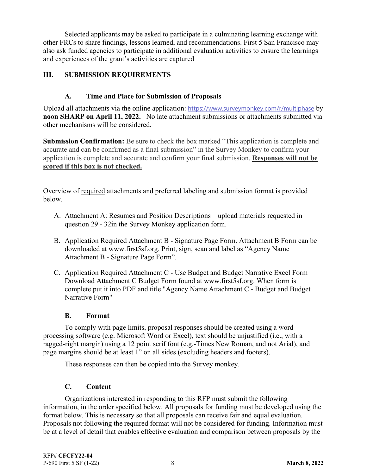Selected applicants may be asked to participate in a culminating learning exchange with other FRCs to share findings, lessons learned, and recommendations. First 5 San Francisco may also ask funded agencies to participate in additional evaluation activities to ensure the learnings and experiences of the grant's activities are captured

## **III. SUBMISSION REQUIREMENTS**

## **A. Time and Place for Submission of Proposals**

Upload all attachments via the online application: https://www.surveymonkey.com/r/multiphase by **noon SHARP on April 11, 2022.** No late attachment submissions or attachments submitted via other mechanisms will be considered.

**Submission Confirmation:** Be sure to check the box marked "This application is complete and accurate and can be confirmed as a final submission" in the Survey Monkey to confirm your application is complete and accurate and confirm your final submission. **Responses will not be scored if this box is not checked.**

Overview of required attachments and preferred labeling and submission format is provided below.

- A. Attachment A: Resumes and Position Descriptions upload materials requested in question 29 - 32in the Survey Monkey application form.
- B. Application Required Attachment B Signature Page Form. Attachment B Form can be downloaded at www.first5sf.org. Print, sign, scan and label as "Agency Name Attachment B - Signature Page Form".
- C. Application Required Attachment C Use Budget and Budget Narrative Excel Form Download Attachment C Budget Form found at www.first5sf.org. When form is complete put it into PDF and title "Agency Name Attachment C - Budget and Budget Narrative Form"

#### **B. Format**

To comply with page limits, proposal responses should be created using a word processing software (e.g. Microsoft Word or Excel), text should be unjustified (i.e., with a ragged-right margin) using a 12 point serif font (e.g.-Times New Roman, and not Arial), and page margins should be at least 1" on all sides (excluding headers and footers).

These responses can then be copied into the Survey monkey.

## **C. Content**

Organizations interested in responding to this RFP must submit the following information, in the order specified below. All proposals for funding must be developed using the format below. This is necessary so that all proposals can receive fair and equal evaluation. Proposals not following the required format will not be considered for funding. Information must be at a level of detail that enables effective evaluation and comparison between proposals by the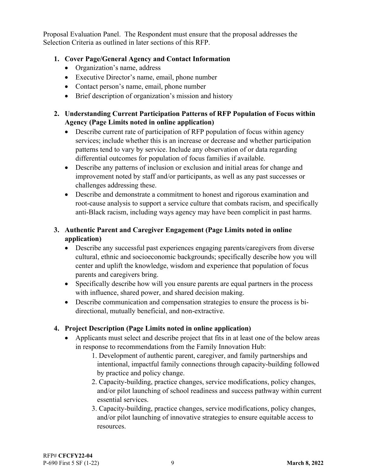Proposal Evaluation Panel. The Respondent must ensure that the proposal addresses the Selection Criteria as outlined in later sections of this RFP.

## **1. Cover Page/General Agency and Contact Information**

- Organization's name, address
- Executive Director's name, email, phone number
- Contact person's name, email, phone number
- Brief description of organization's mission and history

## **2. Understanding Current Participation Patterns of RFP Population of Focus within Agency (Page Limits noted in online application)**

- Describe current rate of participation of RFP population of focus within agency services; include whether this is an increase or decrease and whether participation patterns tend to vary by service. Include any observation of or data regarding differential outcomes for population of focus families if available.
- Describe any patterns of inclusion or exclusion and initial areas for change and improvement noted by staff and/or participants, as well as any past successes or challenges addressing these.
- Describe and demonstrate a commitment to honest and rigorous examination and root-cause analysis to support a service culture that combats racism, and specifically anti-Black racism, including ways agency may have been complicit in past harms.

## **3. Authentic Parent and Caregiver Engagement (Page Limits noted in online application)**

- Describe any successful past experiences engaging parents/caregivers from diverse cultural, ethnic and socioeconomic backgrounds; specifically describe how you will center and uplift the knowledge, wisdom and experience that population of focus parents and caregivers bring.
- Specifically describe how will you ensure parents are equal partners in the process with influence, shared power, and shared decision making.
- Describe communication and compensation strategies to ensure the process is bidirectional, mutually beneficial, and non-extractive.

## **4. Project Description (Page Limits noted in online application)**

- Applicants must select and describe project that fits in at least one of the below areas in response to recommendations from the Family Innovation Hub:
	- 1. Development of authentic parent, caregiver, and family partnerships and intentional, impactful family connections through capacity-building followed by practice and policy change.
	- 2. Capacity-building, practice changes, service modifications, policy changes, and/or pilot launching of school readiness and success pathway within current essential services.
	- 3. Capacity-building, practice changes, service modifications, policy changes, and/or pilot launching of innovative strategies to ensure equitable access to resources.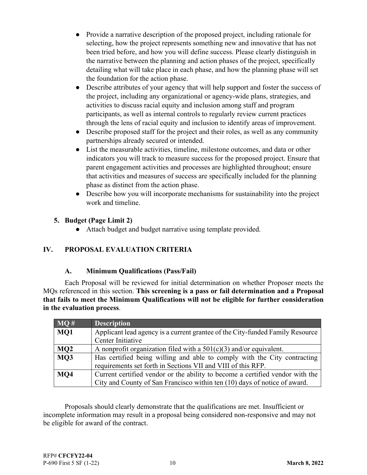- Provide a narrative description of the proposed project, including rationale for selecting, how the project represents something new and innovative that has not been tried before, and how you will define success. Please clearly distinguish in the narrative between the planning and action phases of the project, specifically detailing what will take place in each phase, and how the planning phase will set the foundation for the action phase.
- Describe attributes of your agency that will help support and foster the success of the project, including any organizational or agency-wide plans, strategies, and activities to discuss racial equity and inclusion among staff and program participants, as well as internal controls to regularly review current practices through the lens of racial equity and inclusion to identify areas of improvement.
- Describe proposed staff for the project and their roles, as well as any community partnerships already secured or intended.
- List the measurable activities, timeline, milestone outcomes, and data or other indicators you will track to measure success for the proposed project. Ensure that parent engagement activities and processes are highlighted throughout; ensure that activities and measures of success are specifically included for the planning phase as distinct from the action phase.
- Describe how you will incorporate mechanisms for sustainability into the project work and timeline.

## **5. Budget (Page Limit 2)**

● Attach budget and budget narrative using template provided.

## **IV. PROPOSAL EVALUATION CRITERIA**

#### **A. Minimum Qualifications (Pass/Fail)**

Each Proposal will be reviewed for initial determination on whether Proposer meets the MQs referenced in this section. **This screening is a pass or fail determination and a Proposal that fails to meet the Minimum Qualifications will not be eligible for further consideration in the evaluation process**.

| MO# | <b>Description</b>                                                            |
|-----|-------------------------------------------------------------------------------|
| MQ1 | Applicant lead agency is a current grantee of the City-funded Family Resource |
|     | Center Initiative                                                             |
| MQ2 | A nonprofit organization filed with a $501(c)(3)$ and/or equivalent.          |
| MQ3 | Has certified being willing and able to comply with the City contracting      |
|     | requirements set forth in Sections VII and VIII of this RFP.                  |
| MQ4 | Current certified vendor or the ability to become a certified vendor with the |
|     | City and County of San Francisco within ten (10) days of notice of award.     |

Proposals should clearly demonstrate that the qualifications are met. Insufficient or incomplete information may result in a proposal being considered non-responsive and may not be eligible for award of the contract.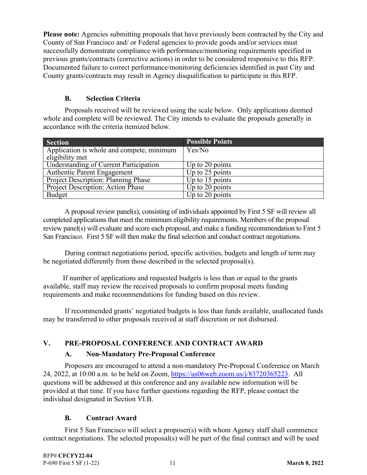**Please note:** Agencies submitting proposals that have previously been contracted by the City and County of San Francisco and/ or Federal agencies to provide goods and/or services must successfully demonstrate compliance with performance/monitoring requirements specified in previous grants/contracts (corrective actions) in order to be considered responsive to this RFP. Documented failure to correct performance/monitoring deficiencies identified in past City and County grants/contracts may result in Agency disqualification to participate in this RFP.

## **B. Selection Criteria**

Proposals received will be reviewed using the scale below. Only applications deemed whole and complete will be reviewed. The City intends to evaluate the proposals generally in accordance with the criteria itemized below.

| <b>Section</b>                             | <b>Possible Points</b> |
|--------------------------------------------|------------------------|
| Application is whole and compete, minimum  | Yes/No                 |
| eligibility met                            |                        |
| Understanding of Current Participation     | Up to $20$ points      |
| <b>Authentic Parent Engagement</b>         | Up to $25$ points      |
| <b>Project Description: Planning Phase</b> | Up to $15$ points      |
| Project Description: Action Phase          | Up to 20 points        |
| <b>Budget</b>                              | Up to $20$ points      |

 A proposal review panel(s), consisting of individuals appointed by First 5 SF will review all completed applications that meet the minimum eligibility requirements. Members of the proposal review panel(s) will evaluate and score each proposal, and make a funding recommendation to First 5 San Francisco. First 5 SF will then make the final selection and conduct contract negotiations.

 During contract negotiations period, specific activities, budgets and length of term may be negotiated differently from those described in the selected proposal(s).

 If number of applications and requested budgets is less than or equal to the grants available, staff may review the received proposals to confirm proposal meets funding requirements and make recommendations for funding based on this review.

 If recommended grants' negotiated budgets is less than funds available, unallocated funds may be transferred to other proposals received at staff discretion or not disbursed.

# **V. PRE-PROPOSAL CONFERENCE AND CONTRACT AWARD**

## **A. Non-Mandatory Pre-Proposal Conference**

 Proposers are encouraged to attend a non-mandatory Pre-Proposal Conference on March 24, 2022, at 10:00 a.m. to be held on Zoom, https://us06web.zoom.us/j/83720365223. All questions will be addressed at this conference and any available new information will be provided at that time. If you have further questions regarding the RFP, please contact the individual designated in Section VI.B.

## **B. Contract Award**

 First 5 San Francisco will select a proposer(s) with whom Agency staff shall commence contract negotiations. The selected proposal(s) will be part of the final contract and will be used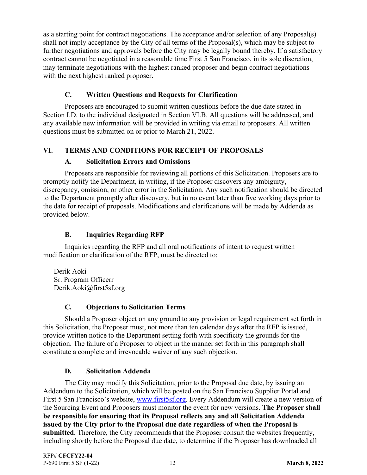as a starting point for contract negotiations. The acceptance and/or selection of any Proposal(s) shall not imply acceptance by the City of all terms of the Proposal(s), which may be subject to further negotiations and approvals before the City may be legally bound thereby. If a satisfactory contract cannot be negotiated in a reasonable time First 5 San Francisco, in its sole discretion, may terminate negotiations with the highest ranked proposer and begin contract negotiations with the next highest ranked proposer.

## **C. Written Questions and Requests for Clarification**

 Proposers are encouraged to submit written questions before the due date stated in Section I.D. to the individual designated in Section VI.B. All questions will be addressed, and any available new information will be provided in writing via email to proposers. All written questions must be submitted on or prior to March 21, 2022.

## **VI. TERMS AND CONDITIONS FOR RECEIPT OF PROPOSALS**

#### **A. Solicitation Errors and Omissions**

 Proposers are responsible for reviewing all portions of this Solicitation. Proposers are to promptly notify the Department, in writing, if the Proposer discovers any ambiguity, discrepancy, omission, or other error in the Solicitation. Any such notification should be directed to the Department promptly after discovery, but in no event later than five working days prior to the date for receipt of proposals. Modifications and clarifications will be made by Addenda as provided below.

## **B. Inquiries Regarding RFP**

 Inquiries regarding the RFP and all oral notifications of intent to request written modification or clarification of the RFP, must be directed to:

Derik Aoki Sr. Program Officerr Derik.Aoki@first5sf.org

#### **C. Objections to Solicitation Terms**

 Should a Proposer object on any ground to any provision or legal requirement set forth in this Solicitation, the Proposer must, not more than ten calendar days after the RFP is issued, provide written notice to the Department setting forth with specificity the grounds for the objection. The failure of a Proposer to object in the manner set forth in this paragraph shall constitute a complete and irrevocable waiver of any such objection.

#### **D. Solicitation Addenda**

 The City may modify this Solicitation, prior to the Proposal due date, by issuing an Addendum to the Solicitation, which will be posted on the San Francisco Supplier Portal and First 5 San Francisco's website, www.first5sf.org. Every Addendum will create a new version of the Sourcing Event and Proposers must monitor the event for new versions. **The Proposer shall be responsible for ensuring that its Proposal reflects any and all Solicitation Addenda issued by the City prior to the Proposal due date regardless of when the Proposal is submitted**. Therefore, the City recommends that the Proposer consult the websites frequently, including shortly before the Proposal due date, to determine if the Proposer has downloaded all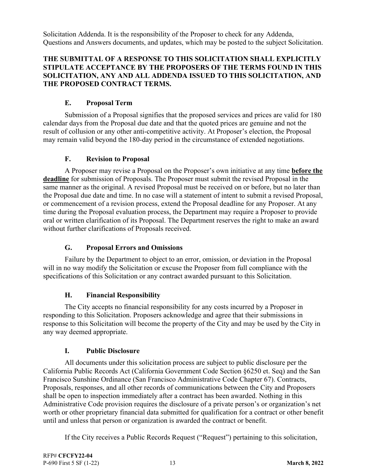Solicitation Addenda. It is the responsibility of the Proposer to check for any Addenda, Questions and Answers documents, and updates, which may be posted to the subject Solicitation.

#### **THE SUBMITTAL OF A RESPONSE TO THIS SOLICITATION SHALL EXPLICITLY STIPULATE ACCEPTANCE BY THE PROPOSERS OF THE TERMS FOUND IN THIS SOLICITATION, ANY AND ALL ADDENDA ISSUED TO THIS SOLICITATION, AND THE PROPOSED CONTRACT TERMS.**

## **E. Proposal Term**

 Submission of a Proposal signifies that the proposed services and prices are valid for 180 calendar days from the Proposal due date and that the quoted prices are genuine and not the result of collusion or any other anti-competitive activity. At Proposer's election, the Proposal may remain valid beyond the 180-day period in the circumstance of extended negotiations.

#### **F. Revision to Proposal**

 A Proposer may revise a Proposal on the Proposer's own initiative at any time **before the deadline** for submission of Proposals. The Proposer must submit the revised Proposal in the same manner as the original. A revised Proposal must be received on or before, but no later than the Proposal due date and time. In no case will a statement of intent to submit a revised Proposal, or commencement of a revision process, extend the Proposal deadline for any Proposer. At any time during the Proposal evaluation process, the Department may require a Proposer to provide oral or written clarification of its Proposal. The Department reserves the right to make an award without further clarifications of Proposals received.

## **G. Proposal Errors and Omissions**

 Failure by the Department to object to an error, omission, or deviation in the Proposal will in no way modify the Solicitation or excuse the Proposer from full compliance with the specifications of this Solicitation or any contract awarded pursuant to this Solicitation.

#### **H. Financial Responsibility**

 The City accepts no financial responsibility for any costs incurred by a Proposer in responding to this Solicitation. Proposers acknowledge and agree that their submissions in response to this Solicitation will become the property of the City and may be used by the City in any way deemed appropriate.

#### **I. Public Disclosure**

 All documents under this solicitation process are subject to public disclosure per the California Public Records Act (California Government Code Section §6250 et. Seq) and the San Francisco Sunshine Ordinance (San Francisco Administrative Code Chapter 67). Contracts, Proposals, responses, and all other records of communications between the City and Proposers shall be open to inspection immediately after a contract has been awarded. Nothing in this Administrative Code provision requires the disclosure of a private person's or organization's net worth or other proprietary financial data submitted for qualification for a contract or other benefit until and unless that person or organization is awarded the contract or benefit.

If the City receives a Public Records Request ("Request") pertaining to this solicitation,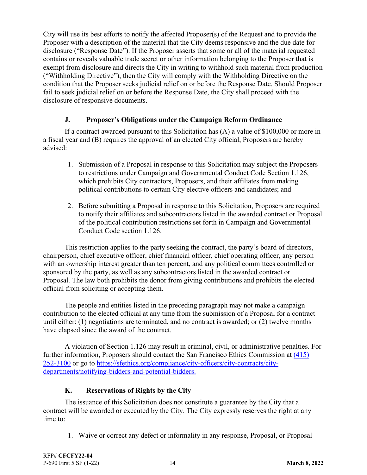City will use its best efforts to notify the affected Proposer(s) of the Request and to provide the Proposer with a description of the material that the City deems responsive and the due date for disclosure ("Response Date"). If the Proposer asserts that some or all of the material requested contains or reveals valuable trade secret or other information belonging to the Proposer that is exempt from disclosure and directs the City in writing to withhold such material from production ("Withholding Directive"), then the City will comply with the Withholding Directive on the condition that the Proposer seeks judicial relief on or before the Response Date. Should Proposer fail to seek judicial relief on or before the Response Date, the City shall proceed with the disclosure of responsive documents.

#### **J. Proposer's Obligations under the Campaign Reform Ordinance**

 If a contract awarded pursuant to this Solicitation has (A) a value of \$100,000 or more in a fiscal year and (B) requires the approval of an elected City official, Proposers are hereby advised:

- 1. Submission of a Proposal in response to this Solicitation may subject the Proposers to restrictions under Campaign and Governmental Conduct Code Section 1.126, which prohibits City contractors, Proposers, and their affiliates from making political contributions to certain City elective officers and candidates; and
- 2. Before submitting a Proposal in response to this Solicitation, Proposers are required to notify their affiliates and subcontractors listed in the awarded contract or Proposal of the political contribution restrictions set forth in Campaign and Governmental Conduct Code section 1.126.

 This restriction applies to the party seeking the contract, the party's board of directors, chairperson, chief executive officer, chief financial officer, chief operating officer, any person with an ownership interest greater than ten percent, and any political committees controlled or sponsored by the party, as well as any subcontractors listed in the awarded contract or Proposal. The law both prohibits the donor from giving contributions and prohibits the elected official from soliciting or accepting them.

 The people and entities listed in the preceding paragraph may not make a campaign contribution to the elected official at any time from the submission of a Proposal for a contract until either: (1) negotiations are terminated, and no contract is awarded; or (2) twelve months have elapsed since the award of the contract.

 A violation of Section 1.126 may result in criminal, civil, or administrative penalties. For further information, Proposers should contact the San Francisco Ethics Commission at (415) 252-3100 or go to https://sfethics.org/compliance/city-officers/city-contracts/citydepartments/notifying-bidders-and-potential-bidders.

## **K. Reservations of Rights by the City**

 The issuance of this Solicitation does not constitute a guarantee by the City that a contract will be awarded or executed by the City. The City expressly reserves the right at any time to:

1. Waive or correct any defect or informality in any response, Proposal, or Proposal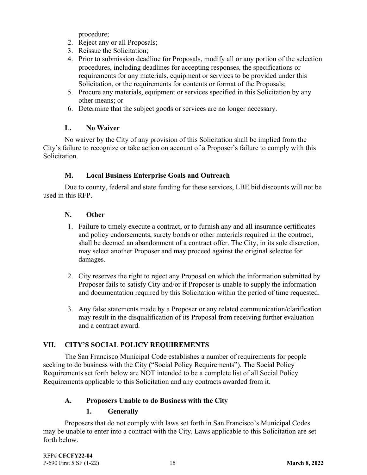procedure;

- 2. Reject any or all Proposals;
- 3. Reissue the Solicitation;
- 4. Prior to submission deadline for Proposals, modify all or any portion of the selection procedures, including deadlines for accepting responses, the specifications or requirements for any materials, equipment or services to be provided under this Solicitation, or the requirements for contents or format of the Proposals;
- 5. Procure any materials, equipment or services specified in this Solicitation by any other means; or
- 6. Determine that the subject goods or services are no longer necessary.

## **L. No Waiver**

 No waiver by the City of any provision of this Solicitation shall be implied from the City's failure to recognize or take action on account of a Proposer's failure to comply with this Solicitation.

## **M. Local Business Enterprise Goals and Outreach**

 Due to county, federal and state funding for these services, LBE bid discounts will not be used in this RFP.

## **N. Other**

- 1. Failure to timely execute a contract, or to furnish any and all insurance certificates and policy endorsements, surety bonds or other materials required in the contract, shall be deemed an abandonment of a contract offer. The City, in its sole discretion, may select another Proposer and may proceed against the original selectee for damages.
- 2. City reserves the right to reject any Proposal on which the information submitted by Proposer fails to satisfy City and/or if Proposer is unable to supply the information and documentation required by this Solicitation within the period of time requested.
- 3. Any false statements made by a Proposer or any related communication/clarification may result in the disqualification of its Proposal from receiving further evaluation and a contract award.

## **VII. CITY'S SOCIAL POLICY REQUIREMENTS**

 The San Francisco Municipal Code establishes a number of requirements for people seeking to do business with the City ("Social Policy Requirements"). The Social Policy Requirements set forth below are NOT intended to be a complete list of all Social Policy Requirements applicable to this Solicitation and any contracts awarded from it.

## **A. Proposers Unable to do Business with the City**

## **1. Generally**

 Proposers that do not comply with laws set forth in San Francisco's Municipal Codes may be unable to enter into a contract with the City. Laws applicable to this Solicitation are set forth below.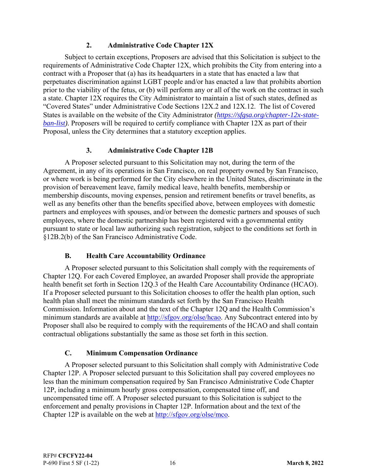#### **2. Administrative Code Chapter 12X**

 Subject to certain exceptions, Proposers are advised that this Solicitation is subject to the requirements of Administrative Code Chapter 12X, which prohibits the City from entering into a contract with a Proposer that (a) has its headquarters in a state that has enacted a law that perpetuates discrimination against LGBT people and/or has enacted a law that prohibits abortion prior to the viability of the fetus, or (b) will perform any or all of the work on the contract in such a state. Chapter 12X requires the City Administrator to maintain a list of such states, defined as "Covered States" under Administrative Code Sections 12X.2 and 12X.12. The list of Covered States is available on the website of the City Administrator *(https://sfgsa.org/chapter-12x-stateban-list*). Proposers will be required to certify compliance with Chapter 12X as part of their Proposal, unless the City determines that a statutory exception applies.

## **3. Administrative Code Chapter 12B**

 A Proposer selected pursuant to this Solicitation may not, during the term of the Agreement, in any of its operations in San Francisco, on real property owned by San Francisco, or where work is being performed for the City elsewhere in the United States, discriminate in the provision of bereavement leave, family medical leave, health benefits, membership or membership discounts, moving expenses, pension and retirement benefits or travel benefits, as well as any benefits other than the benefits specified above, between employees with domestic partners and employees with spouses, and/or between the domestic partners and spouses of such employees, where the domestic partnership has been registered with a governmental entity pursuant to state or local law authorizing such registration, subject to the conditions set forth in §12B.2(b) of the San Francisco Administrative Code.

#### **B. Health Care Accountability Ordinance**

 A Proposer selected pursuant to this Solicitation shall comply with the requirements of Chapter 12Q. For each Covered Employee, an awarded Proposer shall provide the appropriate health benefit set forth in Section 12Q.3 of the Health Care Accountability Ordinance (HCAO). If a Proposer selected pursuant to this Solicitation chooses to offer the health plan option, such health plan shall meet the minimum standards set forth by the San Francisco Health Commission. Information about and the text of the Chapter 12Q and the Health Commission's minimum standards are available at http://sfgov.org/olse/hcao. Any Subcontract entered into by Proposer shall also be required to comply with the requirements of the HCAO and shall contain contractual obligations substantially the same as those set forth in this section.

## **C. Minimum Compensation Ordinance**

 A Proposer selected pursuant to this Solicitation shall comply with Administrative Code Chapter 12P. A Proposer selected pursuant to this Solicitation shall pay covered employees no less than the minimum compensation required by San Francisco Administrative Code Chapter 12P, including a minimum hourly gross compensation, compensated time off, and uncompensated time off. A Proposer selected pursuant to this Solicitation is subject to the enforcement and penalty provisions in Chapter 12P. Information about and the text of the Chapter 12P is available on the web at http://sfgov.org/olse/mco.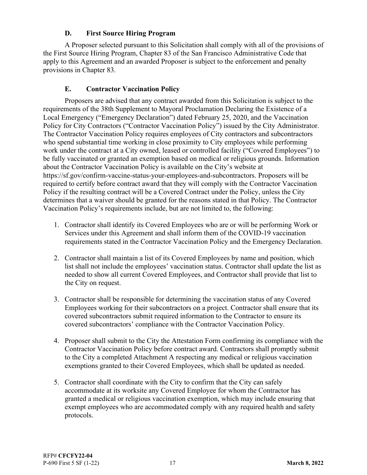#### **D. First Source Hiring Program**

 A Proposer selected pursuant to this Solicitation shall comply with all of the provisions of the First Source Hiring Program, Chapter 83 of the San Francisco Administrative Code that apply to this Agreement and an awarded Proposer is subject to the enforcement and penalty provisions in Chapter 83.

## **E. Contractor Vaccination Policy**

 Proposers are advised that any contract awarded from this Solicitation is subject to the requirements of the 38th Supplement to Mayoral Proclamation Declaring the Existence of a Local Emergency ("Emergency Declaration") dated February 25, 2020, and the Vaccination Policy for City Contractors ("Contractor Vaccination Policy") issued by the City Administrator. The Contractor Vaccination Policy requires employees of City contractors and subcontractors who spend substantial time working in close proximity to City employees while performing work under the contract at a City owned, leased or controlled facility ("Covered Employees") to be fully vaccinated or granted an exemption based on medical or religious grounds. Information about the Contractor Vaccination Policy is available on the City's website at https://sf.gov/confirm-vaccine-status-your-employees-and-subcontractors. Proposers will be required to certify before contract award that they will comply with the Contractor Vaccination Policy if the resulting contract will be a Covered Contract under the Policy, unless the City determines that a waiver should be granted for the reasons stated in that Policy. The Contractor Vaccination Policy's requirements include, but are not limited to, the following:

- 1. Contractor shall identify its Covered Employees who are or will be performing Work or Services under this Agreement and shall inform them of the COVID-19 vaccination requirements stated in the Contractor Vaccination Policy and the Emergency Declaration.
- 2. Contractor shall maintain a list of its Covered Employees by name and position, which list shall not include the employees' vaccination status. Contractor shall update the list as needed to show all current Covered Employees, and Contractor shall provide that list to the City on request.
- 3. Contractor shall be responsible for determining the vaccination status of any Covered Employees working for their subcontractors on a project. Contractor shall ensure that its covered subcontractors submit required information to the Contractor to ensure its covered subcontractors' compliance with the Contractor Vaccination Policy.
- 4. Proposer shall submit to the City the Attestation Form confirming its compliance with the Contractor Vaccination Policy before contract award. Contractors shall promptly submit to the City a completed Attachment A respecting any medical or religious vaccination exemptions granted to their Covered Employees, which shall be updated as needed.
- 5. Contractor shall coordinate with the City to confirm that the City can safely accommodate at its worksite any Covered Employee for whom the Contractor has granted a medical or religious vaccination exemption, which may include ensuring that exempt employees who are accommodated comply with any required health and safety protocols.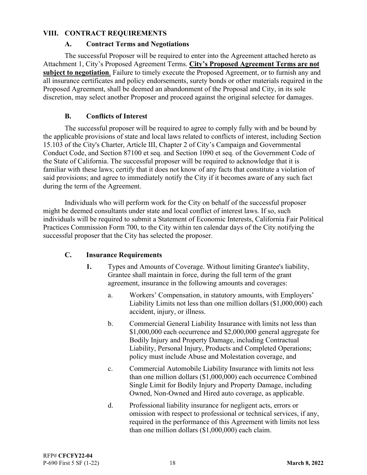#### **VIII. CONTRACT REQUIREMENTS**

#### **A. Contract Terms and Negotiations**

 The successful Proposer will be required to enter into the Agreement attached hereto as Attachment 1, City's Proposed Agreement Terms. **City's Proposed Agreement Terms are not subject to negotiation**. Failure to timely execute the Proposed Agreement, or to furnish any and all insurance certificates and policy endorsements, surety bonds or other materials required in the Proposed Agreement, shall be deemed an abandonment of the Proposal and City, in its sole discretion, may select another Proposer and proceed against the original selectee for damages.

#### **B. Conflicts of Interest**

 The successful proposer will be required to agree to comply fully with and be bound by the applicable provisions of state and local laws related to conflicts of interest, including Section 15.103 of the City's Charter, Article III, Chapter 2 of City's Campaign and Governmental Conduct Code, and Section 87100 et seq. and Section 1090 et seq. of the Government Code of the State of California. The successful proposer will be required to acknowledge that it is familiar with these laws; certify that it does not know of any facts that constitute a violation of said provisions; and agree to immediately notify the City if it becomes aware of any such fact during the term of the Agreement.

 Individuals who will perform work for the City on behalf of the successful proposer might be deemed consultants under state and local conflict of interest laws. If so, such individuals will be required to submit a Statement of Economic Interests, California Fair Political Practices Commission Form 700, to the City within ten calendar days of the City notifying the successful proposer that the City has selected the proposer.

#### **C. Insurance Requirements**

- **1.** Types and Amounts of Coverage. Without limiting Grantee's liability, Grantee shall maintain in force, during the full term of the grant agreement, insurance in the following amounts and coverages:
	- a. Workers' Compensation, in statutory amounts, with Employers' Liability Limits not less than one million dollars (\$1,000,000) each accident, injury, or illness.
	- b. Commercial General Liability Insurance with limits not less than \$1,000,000 each occurrence and \$2,000,000 general aggregate for Bodily Injury and Property Damage, including Contractual Liability, Personal Injury, Products and Completed Operations; policy must include Abuse and Molestation coverage, and
	- c. Commercial Automobile Liability Insurance with limits not less than one million dollars (\$1,000,000) each occurrence Combined Single Limit for Bodily Injury and Property Damage, including Owned, Non-Owned and Hired auto coverage, as applicable.
	- d. Professional liability insurance for negligent acts, errors or omission with respect to professional or technical services, if any, required in the performance of this Agreement with limits not less than one million dollars (\$1,000,000) each claim.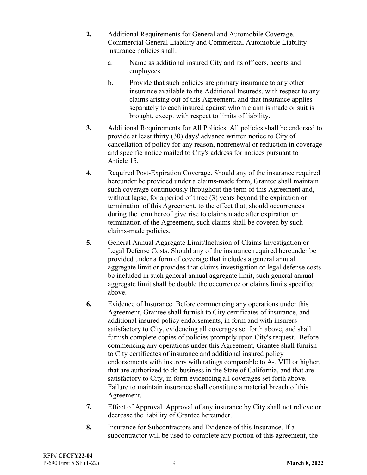- **2.** Additional Requirements for General and Automobile Coverage. Commercial General Liability and Commercial Automobile Liability insurance policies shall:
	- a. Name as additional insured City and its officers, agents and employees.
	- b. Provide that such policies are primary insurance to any other insurance available to the Additional Insureds, with respect to any claims arising out of this Agreement, and that insurance applies separately to each insured against whom claim is made or suit is brought, except with respect to limits of liability.
- **3.** Additional Requirements for All Policies. All policies shall be endorsed to provide at least thirty (30) days' advance written notice to City of cancellation of policy for any reason, nonrenewal or reduction in coverage and specific notice mailed to City's address for notices pursuant to Article 15.
- **4.** Required Post-Expiration Coverage. Should any of the insurance required hereunder be provided under a claims-made form, Grantee shall maintain such coverage continuously throughout the term of this Agreement and, without lapse, for a period of three (3) years beyond the expiration or termination of this Agreement, to the effect that, should occurrences during the term hereof give rise to claims made after expiration or termination of the Agreement, such claims shall be covered by such claims-made policies.
- **5.** General Annual Aggregate Limit/Inclusion of Claims Investigation or Legal Defense Costs. Should any of the insurance required hereunder be provided under a form of coverage that includes a general annual aggregate limit or provides that claims investigation or legal defense costs be included in such general annual aggregate limit, such general annual aggregate limit shall be double the occurrence or claims limits specified above.
- **6.** Evidence of Insurance. Before commencing any operations under this Agreement, Grantee shall furnish to City certificates of insurance, and additional insured policy endorsements, in form and with insurers satisfactory to City, evidencing all coverages set forth above, and shall furnish complete copies of policies promptly upon City's request. Before commencing any operations under this Agreement, Grantee shall furnish to City certificates of insurance and additional insured policy endorsements with insurers with ratings comparable to A-, VIII or higher, that are authorized to do business in the State of California, and that are satisfactory to City, in form evidencing all coverages set forth above. Failure to maintain insurance shall constitute a material breach of this Agreement.
- **7.** Effect of Approval. Approval of any insurance by City shall not relieve or decrease the liability of Grantee hereunder.
- **8.** Insurance for Subcontractors and Evidence of this Insurance. If a subcontractor will be used to complete any portion of this agreement, the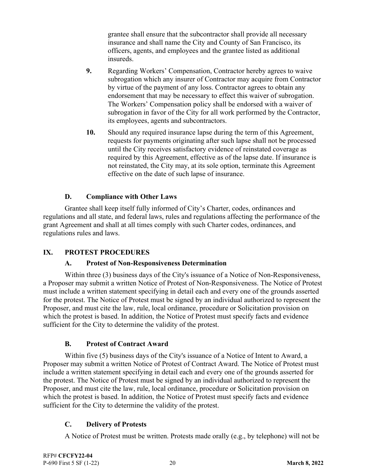grantee shall ensure that the subcontractor shall provide all necessary insurance and shall name the City and County of San Francisco, its officers, agents, and employees and the grantee listed as additional insureds.

- **9.** Regarding Workers' Compensation, Contractor hereby agrees to waive subrogation which any insurer of Contractor may acquire from Contractor by virtue of the payment of any loss. Contractor agrees to obtain any endorsement that may be necessary to effect this waiver of subrogation. The Workers' Compensation policy shall be endorsed with a waiver of subrogation in favor of the City for all work performed by the Contractor, its employees, agents and subcontractors.
- **10.** Should any required insurance lapse during the term of this Agreement, requests for payments originating after such lapse shall not be processed until the City receives satisfactory evidence of reinstated coverage as required by this Agreement, effective as of the lapse date. If insurance is not reinstated, the City may, at its sole option, terminate this Agreement effective on the date of such lapse of insurance.

## **D. Compliance with Other Laws**

 Grantee shall keep itself fully informed of City's Charter, codes, ordinances and regulations and all state, and federal laws, rules and regulations affecting the performance of the grant Agreement and shall at all times comply with such Charter codes, ordinances, and regulations rules and laws.

#### **IX. PROTEST PROCEDURES**

#### **A. Protest of Non-Responsiveness Determination**

 Within three (3) business days of the City's issuance of a Notice of Non-Responsiveness, a Proposer may submit a written Notice of Protest of Non-Responsiveness. The Notice of Protest must include a written statement specifying in detail each and every one of the grounds asserted for the protest. The Notice of Protest must be signed by an individual authorized to represent the Proposer, and must cite the law, rule, local ordinance, procedure or Solicitation provision on which the protest is based. In addition, the Notice of Protest must specify facts and evidence sufficient for the City to determine the validity of the protest.

#### **B. Protest of Contract Award**

 Within five (5) business days of the City's issuance of a Notice of Intent to Award, a Proposer may submit a written Notice of Protest of Contract Award. The Notice of Protest must include a written statement specifying in detail each and every one of the grounds asserted for the protest. The Notice of Protest must be signed by an individual authorized to represent the Proposer, and must cite the law, rule, local ordinance, procedure or Solicitation provision on which the protest is based. In addition, the Notice of Protest must specify facts and evidence sufficient for the City to determine the validity of the protest.

#### **C. Delivery of Protests**

A Notice of Protest must be written. Protests made orally (e.g., by telephone) will not be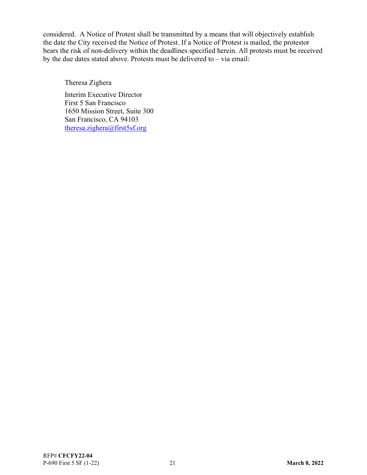considered. A Notice of Protest shall be transmitted by a means that will objectively establish the date the City received the Notice of Protest. If a Notice of Protest is mailed, the protestor bears the risk of non-delivery within the deadlines specified herein. All protests must be received by the due dates stated above. Protests must be delivered to – via email:

Theresa Zighera

Interim Executive Director First 5 San Francisco 1650 Mission Street, Suite 300 San Francisco, CA 94103 theresa.zighera@first5sf.org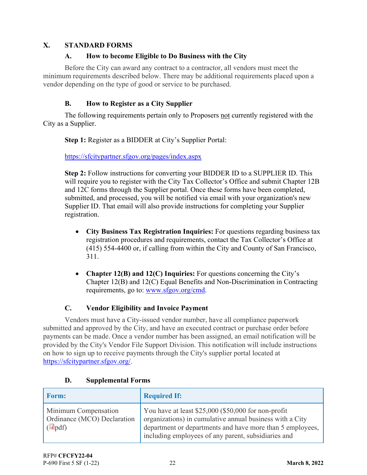## **X. STANDARD FORMS**

## **A. How to become Eligible to Do Business with the City**

 Before the City can award any contract to a contractor, all vendors must meet the minimum requirements described below. There may be additional requirements placed upon a vendor depending on the type of good or service to be purchased.

## **B. How to Register as a City Supplier**

 The following requirements pertain only to Proposers not currently registered with the City as a Supplier.

**Step 1:** Register as a BIDDER at City's Supplier Portal:

https://sfcitypartner.sfgov.org/pages/index.aspx

**Step 2:** Follow instructions for converting your BIDDER ID to a SUPPLIER ID. This will require you to register with the City Tax Collector's Office and submit Chapter 12B and 12C forms through the Supplier portal. Once these forms have been completed, submitted, and processed, you will be notified via email with your organization's new Supplier ID. That email will also provide instructions for completing your Supplier registration.

- **City Business Tax Registration Inquiries:** For questions regarding business tax registration procedures and requirements, contact the Tax Collector's Office at (415) 554-4400 or, if calling from within the City and County of San Francisco, 311.
- **Chapter 12(B) and 12(C) Inquiries:** For questions concerning the City's Chapter 12(B) and 12(C) Equal Benefits and Non-Discrimination in Contracting requirements, go to: www.sfgov.org/cmd.

# **C. Vendor Eligibility and Invoice Payment**

 Vendors must have a City-issued vendor number, have all compliance paperwork submitted and approved by the City, and have an executed contract or purchase order before payments can be made. Once a vendor number has been assigned, an email notification will be provided by the City's Vendor File Support Division. This notification will include instructions on how to sign up to receive payments through the City's supplier portal located at https://sfcitypartner.sfgov.org/.

| <b>Form:</b>                                                                      | <b>Required If:</b>                                                                                                                                                                                                                 |
|-----------------------------------------------------------------------------------|-------------------------------------------------------------------------------------------------------------------------------------------------------------------------------------------------------------------------------------|
| <b>Minimum Compensation</b><br>Ordinance (MCO) Declaration<br>$\overline{d}$ pdf) | You have at least \$25,000 (\$50,000 for non-profit<br>organizations) in cumulative annual business with a City<br>department or departments and have more than 5 employees,<br>including employees of any parent, subsidiaries and |

## **D. Supplemental Forms**